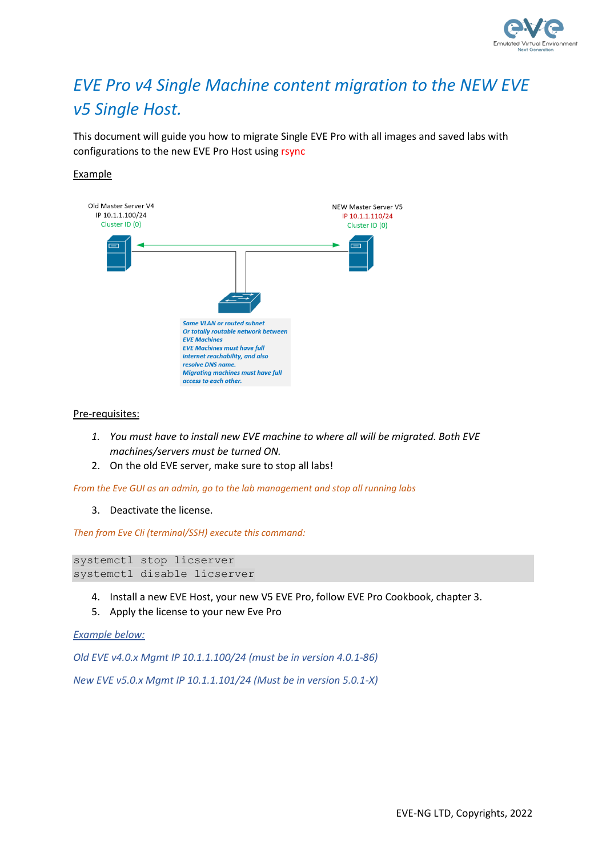

## *EVE Pro v4 Single Machine content migration to the NEW EVE v5 Single Host.*

This document will guide you how to migrate Single EVE Pro with all images and saved labs with configurations to the new EVE Pro Host using rsync

## Example



Pre-requisites:

- *1. You must have to install new EVE machine to where all will be migrated. Both EVE machines/servers must be turned ON.*
- 2. On the old EVE server, make sure to stop all labs!

*From the Eve GUI as an admin, go to the lab management and stop all running labs*

3. Deactivate the license.

*Then from Eve Cli (terminal/SSH) execute this command:*

```
systemctl stop licserver
systemctl disable licserver
```
- 4. Install a new EVE Host, your new V5 EVE Pro, follow EVE Pro Cookbook, chapter 3.
- 5. Apply the license to your new Eve Pro

## *Example below:*

*Old EVE v4.0.x Mgmt IP 10.1.1.100/24 (must be in version 4.0.1-86)*

*New EVE v5.0.x Mgmt IP 10.1.1.101/24 (Must be in version 5.0.1-X)*